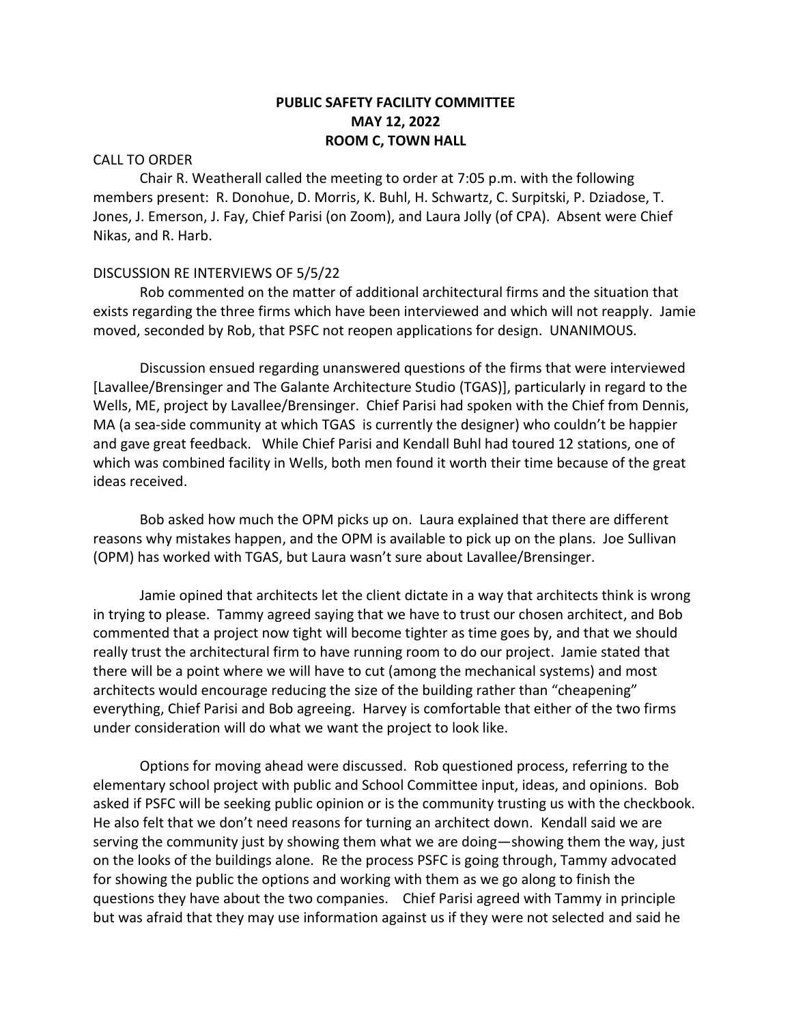# **PUBLIC SAFETY FACILITY COMMITTEE MAY 12, 2022 ROOM C, TOWN HALL**

### CALL TO ORDER

Chair R. Weatherall called the meeting to order at 7:05 p.m. with the following members present: R. Donohue, D. Morris, K. Buhl, H. Schwartz, C. Surpitski, P. Dziadose, T. Jones, J. Emerson, J. Fay, Chief Parisi (on Zoom), and Laura Jolly (of CPA). Absent were Chief Nikas, and R. Harb.

## DISCUSSION RE INTERVIEWS OF 5/5/22

Rob commented on the matter of additional architectural firms and the situation that exists regarding the three firms which have been interviewed and which will not reapply. Jamie moved, seconded by Rob, that PSFC not reopen applications for design. UNANIMOUS.

Discussion ensued regarding unanswered questions of the firms that were interviewed [Lavallee/Brensinger and The Galante Architecture Studio (TGAS)], particularly in regard to the Wells, ME, project by Lavallee/Brensinger. Chief Parisi had spoken with the Chief from Dennis, MA (a sea-side community at which TGAS is currently the designer) who couldn't be happier and gave great feedback. While Chief Parisi and Kendall Buhl had toured 12 stations, one of which was combined facility in Wells, both men found it worth their time because of the great ideas received.

Bob asked how much the OPM picks up on. Laura explained that there are different reasons why mistakes happen, and the OPM is available to pick up on the plans. Joe Sullivan (OPM) has worked with TGAS, but Laura wasn't sure about Lavallee/Brensinger.

Jamie opined that architects let the client dictate in a way that architects think is wrong in trying to please. Tammy agreed saying that we have to trust our chosen architect, and Bob commented that a project now tight will become tighter as time goes by, and that we should really trust the architectural firm to have running room to do our project. Jamie stated that there will be a point where we will have to cut (among the mechanical systems) and most architects would encourage reducing the size of the building rather than "cheapening" everything, Chief Parisi and Bob agreeing. Harvey is comfortable that either of the two firms under consideration will do what we want the project to look like.

Options for moving ahead were discussed. Rob questioned process, referring to the elementary school project with public and School Committee input, ideas, and opinions. Bob asked if PSFC will be seeking public opinion or is the community trusting us with the checkbook. He also felt that we don't need reasons for turning an architect down. Kendall said we are serving the community just by showing them what we are doing—showing them the way, just on the looks of the buildings alone. Re the process PSFC is going through, Tammy advocated for showing the public the options and working with them as we go along to finish the questions they have about the two companies. Chief Parisi agreed with Tammy in principle but was afraid that they may use information against us if they were not selected and said he